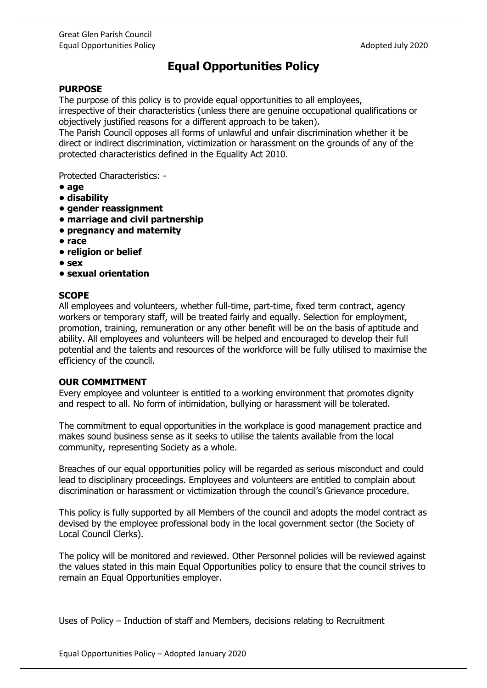## **Equal Opportunities Policy**

## **PURPOSE**

The purpose of this policy is to provide equal opportunities to all employees, irrespective of their characteristics (unless there are genuine occupational qualifications or objectively justified reasons for a different approach to be taken).

The Parish Council opposes all forms of unlawful and unfair discrimination whether it be direct or indirect discrimination, victimization or harassment on the grounds of any of the protected characteristics defined in the Equality Act 2010.

Protected Characteristics: -

- **age**
- **disability**
- **gender reassignment**
- **marriage and civil partnership**
- **pregnancy and maternity**
- **race**
- **religion or belief**
- **sex**
- **sexual orientation**

## **SCOPE**

All employees and volunteers, whether full-time, part-time, fixed term contract, agency workers or temporary staff, will be treated fairly and equally. Selection for employment, promotion, training, remuneration or any other benefit will be on the basis of aptitude and ability. All employees and volunteers will be helped and encouraged to develop their full potential and the talents and resources of the workforce will be fully utilised to maximise the efficiency of the council.

## **OUR COMMITMENT**

Every employee and volunteer is entitled to a working environment that promotes dignity and respect to all. No form of intimidation, bullying or harassment will be tolerated.

The commitment to equal opportunities in the workplace is good management practice and makes sound business sense as it seeks to utilise the talents available from the local community, representing Society as a whole.

Breaches of our equal opportunities policy will be regarded as serious misconduct and could lead to disciplinary proceedings. Employees and volunteers are entitled to complain about discrimination or harassment or victimization through the council's Grievance procedure.

This policy is fully supported by all Members of the council and adopts the model contract as devised by the employee professional body in the local government sector (the Society of Local Council Clerks).

The policy will be monitored and reviewed. Other Personnel policies will be reviewed against the values stated in this main Equal Opportunities policy to ensure that the council strives to remain an Equal Opportunities employer.

Uses of Policy – Induction of staff and Members, decisions relating to Recruitment